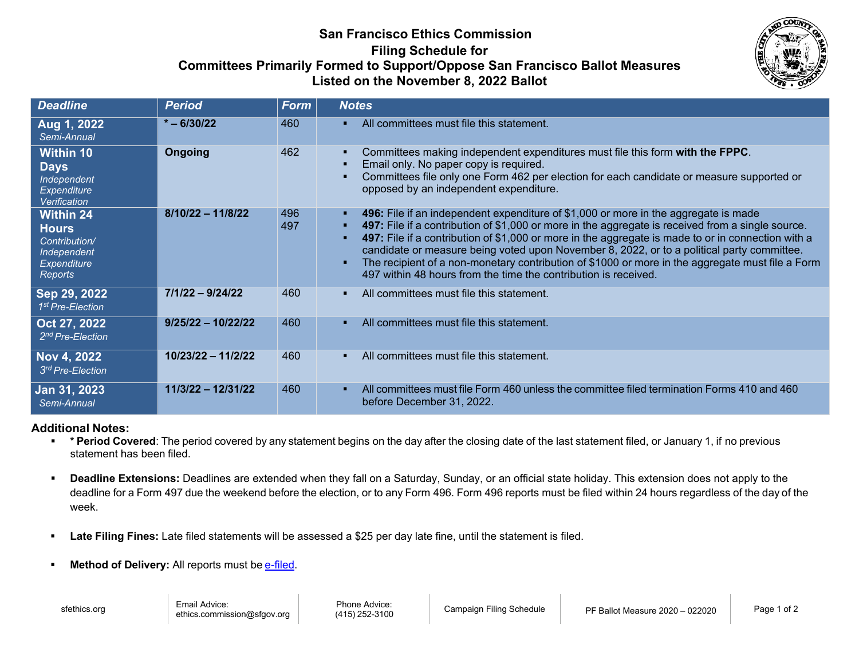# **San Francisco Ethics Commission Filing Schedule for Committees Primarily Formed to Support/Oppose San Francisco Ballot Measures Listed on the November 8, 2022 Ballot**



| <b>Deadline</b>                                                                                   | <b>Period</b>        | <b>Form</b> | <b>Notes</b>                                                                                                                                                                                                                                                                                                                                                                                                                                                                                                                                                                               |
|---------------------------------------------------------------------------------------------------|----------------------|-------------|--------------------------------------------------------------------------------------------------------------------------------------------------------------------------------------------------------------------------------------------------------------------------------------------------------------------------------------------------------------------------------------------------------------------------------------------------------------------------------------------------------------------------------------------------------------------------------------------|
| Aug 1, 2022<br>Semi-Annual                                                                        | $* - 6/30/22$        | 460         | All committees must file this statement.<br>п.                                                                                                                                                                                                                                                                                                                                                                                                                                                                                                                                             |
| <b>Within 10</b><br><b>Days</b><br>Independent<br><b>Expenditure</b><br>Verification              | <b>Ongoing</b>       | 462         | Committees making independent expenditures must file this form with the FPPC.<br>٠.<br>Email only. No paper copy is required.<br>Committees file only one Form 462 per election for each candidate or measure supported or<br>opposed by an independent expenditure.                                                                                                                                                                                                                                                                                                                       |
| <b>Within 24</b><br><b>Hours</b><br>Contribution/<br>Independent<br><b>Expenditure</b><br>Reports | $8/10/22 - 11/8/22$  | 496<br>497  | 496: File if an independent expenditure of \$1,000 or more in the aggregate is made<br>п.<br>497: File if a contribution of \$1,000 or more in the aggregate is received from a single source.<br>٠.<br>497: File if a contribution of \$1,000 or more in the aggregate is made to or in connection with a<br>п.<br>candidate or measure being voted upon November 8, 2022, or to a political party committee.<br>The recipient of a non-monetary contribution of \$1000 or more in the aggregate must file a Form<br>٠<br>497 within 48 hours from the time the contribution is received. |
| Sep 29, 2022<br>1 <sup>st</sup> Pre-Election                                                      | $7/1/22 - 9/24/22$   | 460         | All committees must file this statement.                                                                                                                                                                                                                                                                                                                                                                                                                                                                                                                                                   |
| Oct 27, 2022<br>2 <sup>nd</sup> Pre-Election                                                      | $9/25/22 - 10/22/22$ | 460         | All committees must file this statement.<br>п.                                                                                                                                                                                                                                                                                                                                                                                                                                                                                                                                             |
| Nov 4, 2022<br>3rd Pre-Election                                                                   | 10/23/22 - 11/2/22   | 460         | All committees must file this statement.                                                                                                                                                                                                                                                                                                                                                                                                                                                                                                                                                   |
| Jan 31, 2023<br>Semi-Annual                                                                       | $11/3/22 - 12/31/22$ | 460         | All committees must file Form 460 unless the committee filed termination Forms 410 and 460<br>п.<br>before December 31, 2022.                                                                                                                                                                                                                                                                                                                                                                                                                                                              |

### **Additional Notes:**

- **\* Period Covered**: The period covered by any statement begins on the day after the closing date of the last statement filed, or January 1, if no previous statement has been filed.
- **Deadline Extensions:** Deadlines are extended when they fall on a Saturday, Sunday, or an official state holiday. This extension does not apply to the deadline for a Form 497 due the weekend before the election, or to any Form 496. Form 496 reports must be filed within 24 hours regardless of the day of the week.
- **Late Filing Fines:** Late filed statements will be assessed a \$25 per day late fine, until the statement is filed.
- **Method of Delivery:** All reports must be [e-filed.](https://sfethics.org/compliance/e-file)